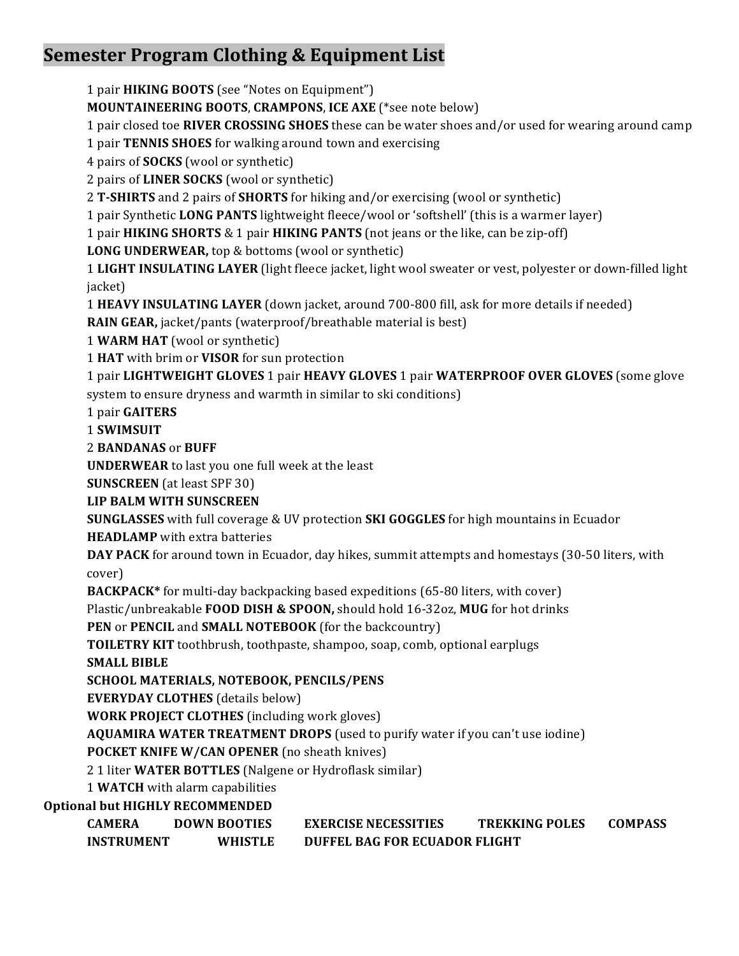# **Semester Program Clothing & Equipment List**

1 pair **HIKING BOOTS** (see "Notes on Equipment")

**MOUNTAINEERING BOOTS, CRAMPONS, ICE AXE (\*see note below)** 

1 pair closed toe **RIVER CROSSING SHOES** these can be water shoes and/or used for wearing around camp

1 pair **TENNIS SHOES** for walking around town and exercising

4 pairs of **SOCKS** (wool or synthetic)

2 pairs of **LINER SOCKS** (wool or synthetic)

2 **T-SHIRTS** and 2 pairs of **SHORTS** for hiking and/or exercising (wool or synthetic)

1 pair Synthetic **LONG PANTS** lightweight fleece/wool or 'softshell' (this is a warmer layer)

1 pair **HIKING SHORTS** & 1 pair **HIKING PANTS** (not jeans or the like, can be zip-off)

**LONG UNDERWEAR,** top & bottoms (wool or synthetic)

1 LIGHT INSULATING LAYER (light fleece jacket, light wool sweater or vest, polyester or down-filled light jacket)

**1 HEAVY INSULATING LAYER** (down jacket, around 700-800 fill, ask for more details if needed)

**RAIN GEAR,** jacket/pants (waterproof/breathable material is best)

1 **WARM HAT** (wool or synthetic)

1 HAT with brim or VISOR for sun protection

**1** pair LIGHTWEIGHT GLOVES 1 pair HEAVY GLOVES 1 pair WATERPROOF OVER GLOVES (some glove system to ensure dryness and warmth in similar to ski conditions)

1 pair **GAITERS**

1 **SWIMSUIT**

2 **BANDANAS** or **BUFF**

**UNDERWEAR** to last you one full week at the least

**SUNSCREEN** (at least SPF 30)

**LIP BALM WITH SUNSCREEN** 

**SUNGLASSES** with full coverage & UV protection **SKI GOGGLES** for high mountains in Ecuador

**HEADLAMP** with extra batteries

**DAY PACK** for around town in Ecuador, day hikes, summit attempts and homestays (30-50 liters, with cover)

**BACKPACK\*** for multi-day backpacking based expeditions (65-80 liters, with cover)

Plastic/unbreakable **FOOD DISH & SPOON**, should hold 16-32oz, **MUG** for hot drinks

**PEN** or **PENCIL** and **SMALL NOTEBOOK** (for the backcountry)

**TOILETRY KIT** toothbrush, toothpaste, shampoo, soap, comb, optional earplugs

**SMALL BIBLE** 

SCHOOL MATERIALS, NOTEBOOK, PENCILS/PENS

**EVERYDAY CLOTHES** (details below)

**WORK PROJECT CLOTHES** (including work gloves)

**AQUAMIRA WATER TREATMENT DROPS** (used to purify water if you can't use iodine)

**POCKET KNIFE W/CAN OPENER** (no sheath knives)

2 1 liter **WATER BOTTLES** (Nalgene or Hydroflask similar)

1 **WATCH** with alarm capabilities

**Optional but HIGHLY RECOMMENDED** 

| CAMERA            | <b>DOWN BOOTIES</b> | <b>EXERCISE NECESSITIES</b>   | <b>TREKKING POLES</b> | <b>COMPASS</b> |
|-------------------|---------------------|-------------------------------|-----------------------|----------------|
| <b>INSTRUMENT</b> | <b>WHISTLE</b>      | DUFFEL BAG FOR ECUADOR FLIGHT |                       |                |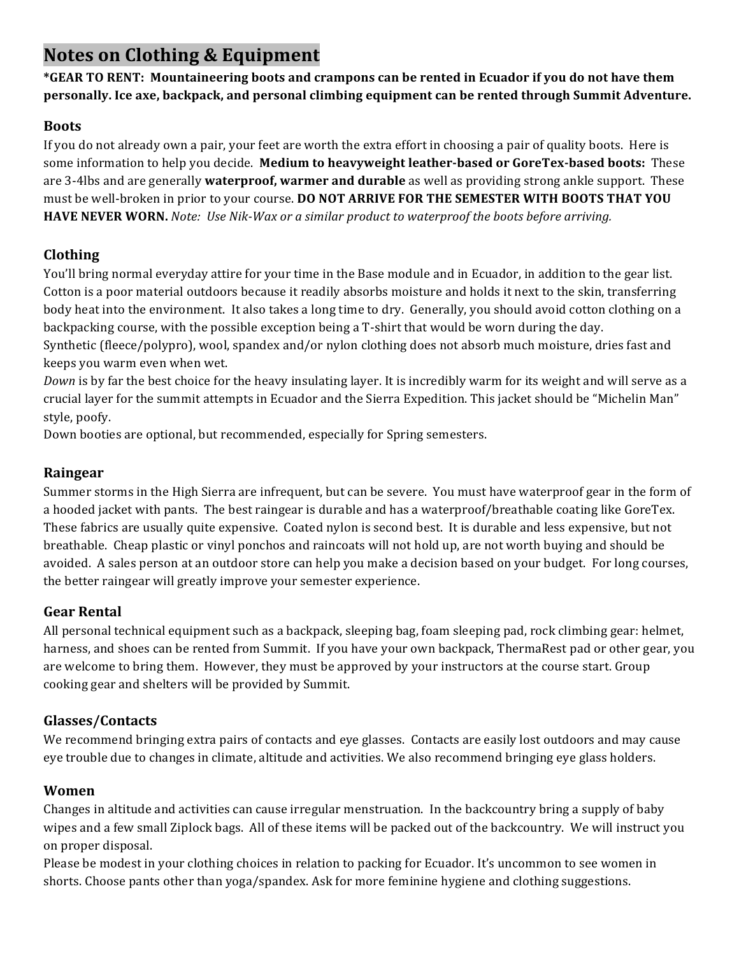# **Notes on Clothing & Equipment**

\*GEAR TO RENT: Mountaineering boots and crampons can be rented in Ecuador if you do not have them **personally.** Ice axe, backpack, and personal climbing equipment can be rented through Summit Adventure.

#### **Boots**

If you do not already own a pair, your feet are worth the extra effort in choosing a pair of quality boots. Here is some information to help you decide. **Medium to heavyweight leather-based or GoreTex-based boots:** These are 3-4lbs and are generally **waterproof, warmer and durable** as well as providing strong ankle support. These must be well-broken in prior to your course. **DO NOT ARRIVE FOR THE SEMESTER WITH BOOTS THAT YOU HAVE NEVER WORN.** *Note: Use Nik-Wax or a similar product to waterproof the boots before arriving.* 

## **Clothing**

You'll bring normal everyday attire for your time in the Base module and in Ecuador, in addition to the gear list. Cotton is a poor material outdoors because it readily absorbs moisture and holds it next to the skin, transferring body heat into the environment. It also takes a long time to dry. Generally, you should avoid cotton clothing on a backpacking course, with the possible exception being a T-shirt that would be worn during the day.

Synthetic (fleece/polypro), wool, spandex and/or nylon clothing does not absorb much moisture, dries fast and keeps you warm even when wet.

*Down* is by far the best choice for the heavy insulating layer. It is incredibly warm for its weight and will serve as a crucial layer for the summit attempts in Ecuador and the Sierra Expedition. This jacket should be "Michelin Man" style, poofy.

Down booties are optional, but recommended, especially for Spring semesters.

## **Raingear**

Summer storms in the High Sierra are infrequent, but can be severe. You must have waterproof gear in the form of a hooded jacket with pants. The best raingear is durable and has a waterproof/breathable coating like GoreTex. These fabrics are usually quite expensive. Coated nylon is second best. It is durable and less expensive, but not breathable. Cheap plastic or vinyl ponchos and raincoats will not hold up, are not worth buying and should be avoided. A sales person at an outdoor store can help you make a decision based on your budget. For long courses, the better raingear will greatly improve your semester experience.

## **Gear Rental**

All personal technical equipment such as a backpack, sleeping bag, foam sleeping pad, rock climbing gear: helmet, harness, and shoes can be rented from Summit. If you have your own backpack, ThermaRest pad or other gear, you are welcome to bring them. However, they must be approved by your instructors at the course start. Group cooking gear and shelters will be provided by Summit.

### **Glasses/Contacts**

We recommend bringing extra pairs of contacts and eye glasses. Contacts are easily lost outdoors and may cause eye trouble due to changes in climate, altitude and activities. We also recommend bringing eye glass holders.

### **Women**

Changes in altitude and activities can cause irregular menstruation. In the backcountry bring a supply of baby wipes and a few small Ziplock bags. All of these items will be packed out of the backcountry. We will instruct you on proper disposal.

Please be modest in your clothing choices in relation to packing for Ecuador. It's uncommon to see women in shorts. Choose pants other than yoga/spandex. Ask for more feminine hygiene and clothing suggestions.